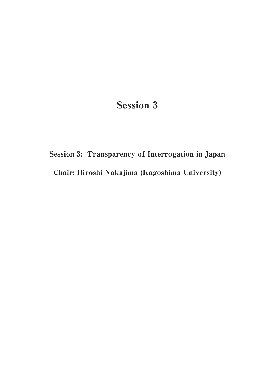# Session 3

Session 3: Transparency of Interrogation in Japan Chair: Hiroshi Nakajima (Kagoshima University)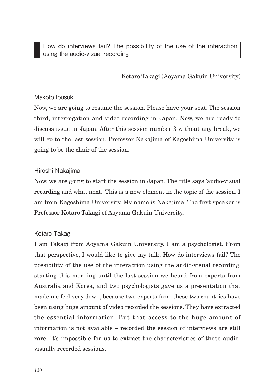How do interviews fail? The possibility of the use of the interaction using the audio-visual recording

# Kotaro Takagi (Aoyama Gakuin University)

#### Makoto Ibusuki

Now, we are going to resume the session. Please have your seat. The session third, interrogation and video recording in Japan. Now, we are ready to discuss issue in Japan. After this session number 3 without any break, we will go to the last session. Professor Nakajima of Kagoshima University is going to be the chair of the session.

#### Hiroshi Nakajima

Now, we are going to start the session in Japan. The title says ʻaudio-visual recording and what next.' This is a new element in the topic of the session. I am from Kagoshima University. My name is Nakajima. The first speaker is Professor Kotaro Takagi of Aoyama Gakuin University.

## Kotaro Takagi

I am Takagi from Aoyama Gakuin University. I am a psychologist. From that perspective, I would like to give my talk. How do interviews fail? The possibility of the use of the interaction using the audio-visual recording, starting this morning until the last session we heard from experts from Australia and Korea, and two psychologists gave us a presentation that made me feel very down, because two experts from these two countries have been using huge amount of video recorded the sessions. They have extracted the essential information. But that access to the huge amount of information is not available – recorded the session of interviews are still rare. It's impossible for us to extract the characteristics of those audiovisually recorded sessions.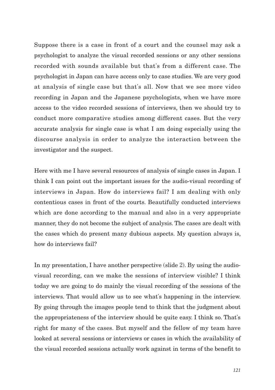Suppose there is a case in front of a court and the counsel may ask a psychologist to analyze the visual recorded sessions or any other sessions recorded with sounds available but that's from a different case. The psychologist in Japan can have access only to case studies. We are very good at analysis of single case but that's all. Now that we see more video recording in Japan and the Japanese psychologists, when we have more access to the video recorded sessions of interviews, then we should try to conduct more comparative studies among different cases. But the very accurate analysis for single case is what I am doing especially using the discourse analysis in order to analyze the interaction between the investigator and the suspect.

Here with me I have several resources of analysis of single cases in Japan. I think I can point out the important issues for the audio-visual recording of interviews in Japan. How do interviews fail? I am dealing with only contentious cases in front of the courts. Beautifully conducted interviews which are done according to the manual and also in a very appropriate manner, they do not become the subject of analysis. The cases are dealt with the cases which do present many dubious aspects. My question always is, how do interviews fail?

In my presentation, I have another perspective (slide 2). By using the audiovisual recording, can we make the sessions of interview visible? I think today we are going to do mainly the visual recording of the sessions of the interviews. That would allow us to see what's happening in the interview. By going through the images people tend to think that the judgment about the appropriateness of the interview should be quite easy. I think so. That's right for many of the cases. But myself and the fellow of my team have looked at several sessions or interviews or cases in which the availability of the visual recorded sessions actually work against in terms of the benefit to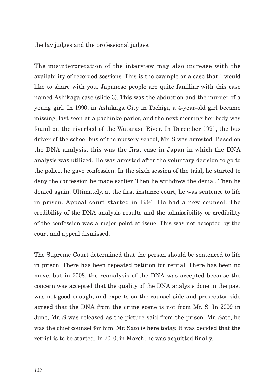the lay judges and the professional judges.

The misinterpretation of the interview may also increase with the availability of recorded sessions. This is the example or a case that I would like to share with you. Japanese people are quite familiar with this case named Ashikaga case (slide 3). This was the abduction and the murder of a young girl. In 1990, in Ashikaga City in Tochigi, a 4-year-old girl became missing, last seen at a pachinko parlor, and the next morning her body was found on the riverbed of the Watarase River. In December 1991, the bus driver of the school bus of the nursery school, Mr. S was arrested. Based on the DNA analysis, this was the first case in Japan in which the DNA analysis was utilized. He was arrested after the voluntary decision to go to the police, he gave confession. In the sixth session of the trial, he started to deny the confession he made earlier. Then he withdrew the denial. Then he denied again. Ultimately, at the first instance court, he was sentence to life in prison. Appeal court started in 1994. He had a new counsel. The credibility of the DNA analysis results and the admissibility or credibility of the confession was a major point at issue. This was not accepted by the court and appeal dismissed.

The Supreme Court determined that the person should be sentenced to life in prison. There has been repeated petition for retrial. There has been no move, but in 2008, the reanalysis of the DNA was accepted because the concern was accepted that the quality of the DNA analysis done in the past was not good enough, and experts on the counsel side and prosecutor side agreed that the DNA from the crime scene is not from Mr. S. In 2009 in June, Mr. S was released as the picture said from the prison. Mr. Sato, he was the chief counsel for him. Mr. Sato is here today. It was decided that the retrial is to be started. In 2010, in March, he was acquitted finally.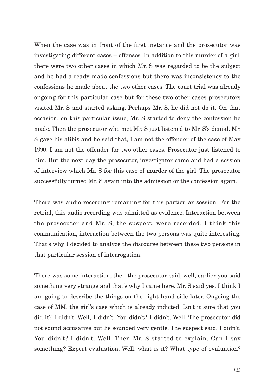When the case was in front of the first instance and the prosecutor was investigating different cases – offenses. In addition to this murder of a girl, there were two other cases in which Mr. S was regarded to be the subject and he had already made confessions but there was inconsistency to the confessions he made about the two other cases. The court trial was already ongoing for this particular case but for these two other cases prosecutors visited Mr. S and started asking. Perhaps Mr. S, he did not do it. On that occasion, on this particular issue, Mr. S started to deny the confession he made. Then the prosecutor who met Mr. S just listened to Mr. S's denial. Mr. S gave his alibis and he said that, I am not the offender of the case of May 1990. I am not the offender for two other cases. Prosecutor just listened to him. But the next day the prosecutor, investigator came and had a session of interview which Mr. S for this case of murder of the girl. The prosecutor successfully turned Mr. S again into the admission or the confession again.

There was audio recording remaining for this particular session. For the retrial, this audio recording was admitted as evidence. Interaction between the prosecutor and Mr. S, the suspect, were recorded. I think this communication, interaction between the two persons was quite interesting. That's why I decided to analyze the discourse between these two persons in that particular session of interrogation.

There was some interaction, then the prosecutor said, well, earlier you said something very strange and that's why I came here. Mr. S said yes. I think I am going to describe the things on the right hand side later. Ongoing the case of MM, the girl's case which is already indicted. Isn't it sure that you did it? I didn't. Well, I didn't. You didn't? I didn't. Well. The prosecutor did not sound accusative but he sounded very gentle. The suspect said, I didn't. You didn't? I didn't. Well. Then Mr. S started to explain. Can I say something? Expert evaluation. Well, what is it? What type of evaluation?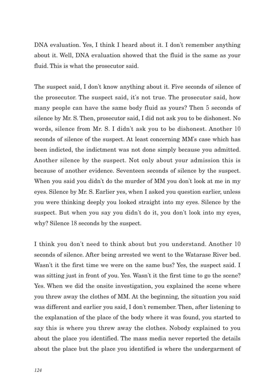DNA evaluation. Yes, I think I heard about it. I don't remember anything about it. Well, DNA evaluation showed that the fluid is the same as your fluid. This is what the prosecutor said.

The suspect said, I don't know anything about it. Five seconds of silence of the prosecutor. The suspect said, it's not true. The prosecutor said, how many people can have the same body fluid as yours? Then 5 seconds of silence by Mr. S. Then, prosecutor said, I did not ask you to be dishonest. No words, silence from Mr. S. I didn't ask you to be dishonest. Another 10 seconds of silence of the suspect. At least concerning MM's case which has been indicted, the indictment was not done simply because you admitted. Another silence by the suspect. Not only about your admission this is because of another evidence. Seventeen seconds of silence by the suspect. When you said you didn't do the murder of MM you don't look at me in my eyes. Silence by Mr. S. Earlier yes, when I asked you question earlier, unless you were thinking deeply you looked straight into my eyes. Silence by the suspect. But when you say you didn't do it, you don't look into my eyes, why? Silence 18 seconds by the suspect.

I think you don't need to think about but you understand. Another 10 seconds of silence. After being arrested we went to the Watarase River bed. Wasn't it the first time we were on the same bus? Yes, the suspect said. I was sitting just in front of you. Yes. Wasn't it the first time to go the scene? Yes. When we did the onsite investigation, you explained the scene where you threw away the clothes of MM. At the beginning, the situation you said was different and earlier you said, I don't remember. Then, after listening to the explanation of the place of the body where it was found, you started to say this is where you threw away the clothes. Nobody explained to you about the place you identified. The mass media never reported the details about the place but the place you identified is where the undergarment of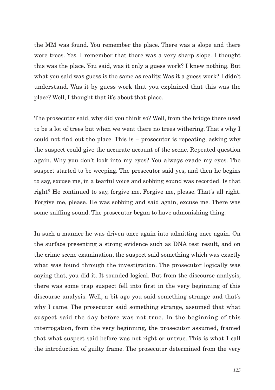the MM was found. You remember the place. There was a slope and there were trees. Yes. I remember that there was a very sharp slope. I thought this was the place. You said, was it only a guess work? I knew nothing. But what you said was guess is the same as reality. Was it a guess work? I didn't understand. Was it by guess work that you explained that this was the place? Well, I thought that it's about that place.

The prosecutor said, why did you think so? Well, from the bridge there used to be a lot of trees but when we went there no trees withering. That's why I could not find out the place. This is – prosecutor is repeating, asking why the suspect could give the accurate account of the scene. Repeated question again. Why you don't look into my eyes? You always evade my eyes. The suspect started to be weeping. The prosecutor said yes, and then he begins to say, excuse me, in a tearful voice and sobbing sound was recorded. Is that right? He continued to say, forgive me. Forgive me, please. That's all right. Forgive me, please. He was sobbing and said again, excuse me. There was some sniffing sound. The prosecutor began to have admonishing thing.

In such a manner he was driven once again into admitting once again. On the surface presenting a strong evidence such as DNA test result, and on the crime scene examination, the suspect said something which was exactly what was found through the investigation. The prosecutor logically was saying that, you did it. It sounded logical. But from the discourse analysis, there was some trap suspect fell into first in the very beginning of this discourse analysis. Well, a bit ago you said something strange and that's why I came. The prosecutor said something strange, assumed that what suspect said the day before was not true. In the beginning of this interrogation, from the very beginning, the prosecutor assumed, framed that what suspect said before was not right or untrue. This is what I call the introduction of guilty frame. The prosecutor determined from the very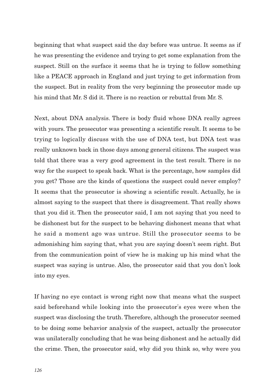beginning that what suspect said the day before was untrue. It seems as if he was presenting the evidence and trying to get some explanation from the suspect. Still on the surface it seems that he is trying to follow something like a PEACE approach in England and just trying to get information from the suspect. But in reality from the very beginning the prosecutor made up his mind that Mr. S did it. There is no reaction or rebuttal from Mr. S.

Next, about DNA analysis. There is body fluid whose DNA really agrees with yours. The prosecutor was presenting a scientific result. It seems to be trying to logically discuss with the use of DNA test, but DNA test was really unknown back in those days among general citizens. The suspect was told that there was a very good agreement in the test result. There is no way for the suspect to speak back. What is the percentage, how samples did you get? Those are the kinds of questions the suspect could never employ? It seems that the prosecutor is showing a scientific result. Actually, he is almost saying to the suspect that there is disagreement. That really shows that you did it. Then the prosecutor said, I am not saying that you need to be dishonest but for the suspect to be behaving dishonest means that what he said a moment ago was untrue. Still the prosecutor seems to be admonishing him saying that, what you are saying doesn't seem right. But from the communication point of view he is making up his mind what the suspect was saying is untrue. Also, the prosecutor said that you don't look into my eyes.

If having no eye contact is wrong right now that means what the suspect said beforehand while looking into the prosecutor's eyes were when the suspect was disclosing the truth. Therefore, although the prosecutor seemed to be doing some behavior analysis of the suspect, actually the prosecutor was unilaterally concluding that he was being dishonest and he actually did the crime. Then, the prosecutor said, why did you think so, why were you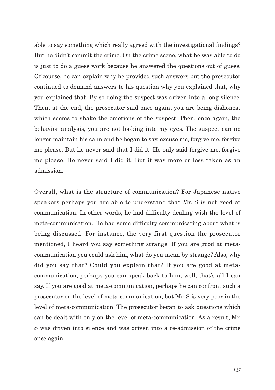able to say something which really agreed with the investigational findings? But he didn't commit the crime. On the crime scene, what he was able to do is just to do a guess work because he answered the questions out of guess. Of course, he can explain why he provided such answers but the prosecutor continued to demand answers to his question why you explained that, why you explained that. By so doing the suspect was driven into a long silence. Then, at the end, the prosecutor said once again, you are being dishonest which seems to shake the emotions of the suspect. Then, once again, the behavior analysis, you are not looking into my eyes. The suspect can no longer maintain his calm and he began to say, excuse me, forgive me, forgive me please. But he never said that I did it. He only said forgive me, forgive me please. He never said I did it. But it was more or less taken as an admission.

Overall, what is the structure of communication? For Japanese native speakers perhaps you are able to understand that Mr. S is not good at communication. In other words, he had difficulty dealing with the level of meta-communication. He had some difficulty communicating about what is being discussed. For instance, the very first question the prosecutor mentioned, I heard you say something strange. If you are good at metacommunication you could ask him, what do you mean by strange? Also, why did you say that? Could you explain that? If you are good at metacommunication, perhaps you can speak back to him, well, that's all I can say. If you are good at meta-communication, perhaps he can confront such a prosecutor on the level of meta-communication, but Mr. S is very poor in the level of meta-communication. The prosecutor began to ask questions which can be dealt with only on the level of meta-communication. As a result, Mr. S was driven into silence and was driven into a re-admission of the crime once again.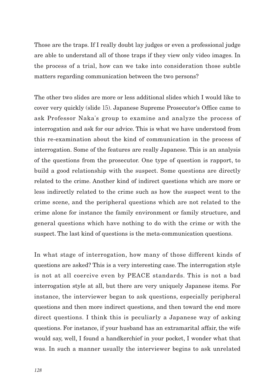Those are the traps. If I really doubt lay judges or even a professional judge are able to understand all of those traps if they view only video images. In the process of a trial, how can we take into consideration those subtle matters regarding communication between the two persons?

The other two slides are more or less additional slides which I would like to cover very quickly (slide 15). Japanese Supreme Prosecutor's Office came to ask Professor Naka's group to examine and analyze the process of interrogation and ask for our advice. This is what we have understood from this re-examination about the kind of communication in the process of interrogation. Some of the features are really Japanese. This is an analysis of the questions from the prosecutor. One type of question is rapport, to build a good relationship with the suspect. Some questions are directly related to the crime. Another kind of indirect questions which are more or less indirectly related to the crime such as how the suspect went to the crime scene, and the peripheral questions which are not related to the crime alone for instance the family environment or family structure, and general questions which have nothing to do with the crime or with the suspect. The last kind of questions is the meta-communication questions.

In what stage of interrogation, how many of those different kinds of questions are asked? This is a very interesting case. The interrogation style is not at all coercive even by PEACE standards. This is not a bad interrogation style at all, but there are very uniquely Japanese items. For instance, the interviewer began to ask questions, especially peripheral questions and then more indirect questions, and then toward the end more direct questions. I think this is peculiarly a Japanese way of asking questions. For instance, if your husband has an extramarital affair, the wife would say, well, I found a handkerchief in your pocket, I wonder what that was. In such a manner usually the interviewer begins to ask unrelated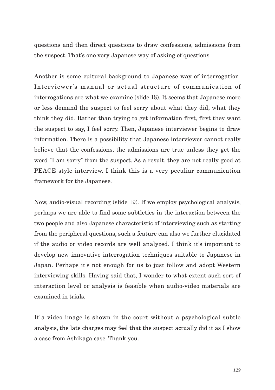questions and then direct questions to draw confessions, admissions from the suspect. That's one very Japanese way of asking of questions.

Another is some cultural background to Japanese way of interrogation. Interviewer's manual or actual structure of communication of interrogations are what we examine (slide 18). It seems that Japanese more or less demand the suspect to feel sorry about what they did, what they think they did. Rather than trying to get information first, first they want the suspect to say, I feel sorry. Then, Japanese interviewer begins to draw information. There is a possibility that Japanese interviewer cannot really believe that the confessions, the admissions are true unless they get the word "I am sorry" from the suspect. As a result, they are not really good at PEACE style interview. I think this is a very peculiar communication framework for the Japanese.

Now, audio-visual recording (slide 19). If we employ psychological analysis, perhaps we are able to find some subtleties in the interaction between the two people and also Japanese characteristic of interviewing such as starting from the peripheral questions, such a feature can also we further elucidated if the audio or video records are well analyzed. I think it's important to develop new innovative interrogation techniques suitable to Japanese in Japan. Perhaps it's not enough for us to just follow and adopt Western interviewing skills. Having said that, I wonder to what extent such sort of interaction level or analysis is feasible when audio-video materials are examined in trials.

If a video image is shown in the court without a psychological subtle analysis, the late charges may feel that the suspect actually did it as I show a case from Ashikaga case. Thank you.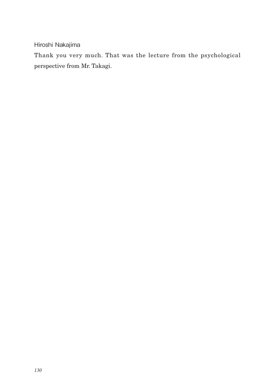Hiroshi Nakajima

Thank you very much. That was the lecture from the psychological perspective from Mr. Takagi.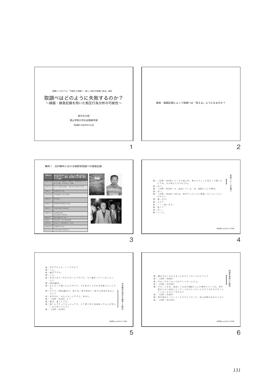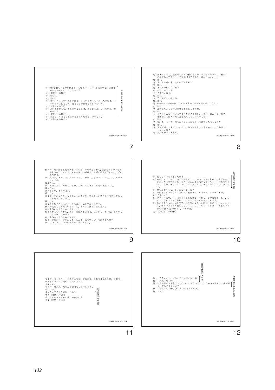

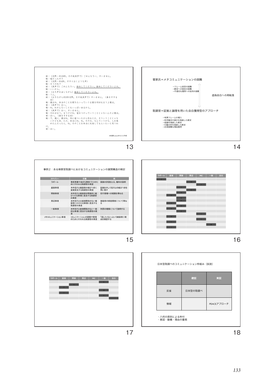











け。<br>被:ほい。



13



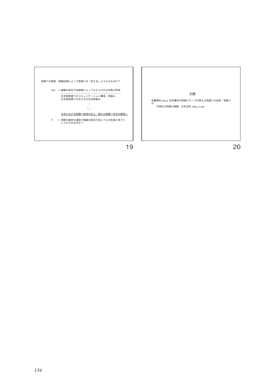

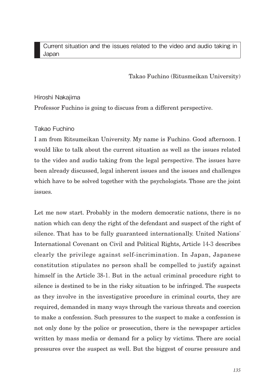# Takao Fuchino (Ritusmeikan University)

# Hiroshi Nakajima

Professor Fuchino is going to discuss from a different perspective.

# Takao Fuchino

I am from Ritsumeikan University. My name is Fuchino. Good afternoon. I would like to talk about the current situation as well as the issues related to the video and audio taking from the legal perspective. The issues have been already discussed, legal inherent issues and the issues and challenges which have to be solved together with the psychologists. Those are the joint issues.

Let me now start. Probably in the modern democratic nations, there is no nation which can deny the right of the defendant and suspect of the right of silence. That has to be fully guaranteed internationally. United Nations' International Covenant on Civil and Political Rights, Article 14-3 describes clearly the privilege against self-incrimination. In Japan, Japanese constitution stipulates no person shall be compelled to justify against himself in the Article 38-1. But in the actual criminal procedure right to silence is destined to be in the risky situation to be infringed. The suspects as they involve in the investigative procedure in criminal courts, they are required, demanded in many ways through the various threats and coercion to make a confession. Such pressures to the suspect to make a confession is not only done by the police or prosecution, there is the newspaper articles written by mass media or demand for a policy by victims. There are social pressures over the suspect as well. But the biggest of course pressure and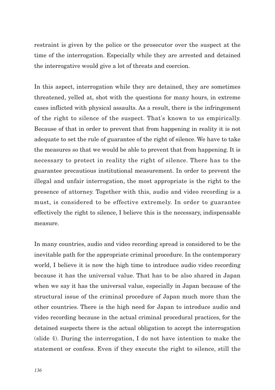restraint is given by the police or the prosecutor over the suspect at the time of the interrogation. Especially while they are arrested and detained the interrogative would give a lot of threats and coercion.

In this aspect, interrogation while they are detained, they are sometimes threatened, yelled at, shot with the questions for many hours, in extreme cases inflicted with physical assaults. As a result, there is the infringement of the right to silence of the suspect. That's known to us empirically. Because of that in order to prevent that from happening in reality it is not adequate to set the rule of guarantee of the right of silence. We have to take the measures so that we would be able to prevent that from happening. It is necessary to protect in reality the right of silence. There has to the guarantee precautious institutional measurement. In order to prevent the illegal and unfair interrogation, the most appropriate is the right to the presence of attorney. Together with this, audio and video recording is a must, is considered to be effective extremely. In order to guarantee effectively the right to silence, I believe this is the necessary, indispensable measure.

In many countries, audio and video recording spread is considered to be the inevitable path for the appropriate criminal procedure. In the contemporary world, I believe it is now the high time to introduce audio video recording because it has the universal value. That has to be also shared in Japan when we say it has the universal value, especially in Japan because of the structural issue of the criminal procedure of Japan much more than the other countries. There is the high need for Japan to introduce audio and video recording because in the actual criminal procedural practices, for the detained suspects there is the actual obligation to accept the interrogation (slide 4). During the interrogation, I do not have intention to make the statement or confess. Even if they execute the right to silence, still the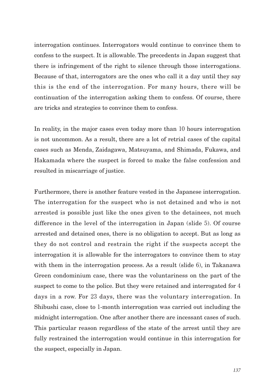interrogation continues. Interrogators would continue to convince them to confess to the suspect. It is allowable. The precedents in Japan suggest that there is infringement of the right to silence through those interrogations. Because of that, interrogators are the ones who call it a day until they say this is the end of the interrogation. For many hours, there will be continuation of the interrogation asking them to confess. Of course, there are tricks and strategies to convince them to confess.

In reality, in the major cases even today more than 10 hours interrogation is not uncommon. As a result, there are a lot of retrial cases of the capital cases such as Menda, Zaidagawa, Matsuyama, and Shimada, Fukawa, and Hakamada where the suspect is forced to make the false confession and resulted in miscarriage of justice.

Furthermore, there is another feature vested in the Japanese interrogation. The interrogation for the suspect who is not detained and who is not arrested is possible just like the ones given to the detainees, not much difference in the level of the interrogation in Japan (slide 5). Of course arrested and detained ones, there is no obligation to accept. But as long as they do not control and restrain the right if the suspects accept the interrogation it is allowable for the interrogators to convince them to stay with them in the interrogation process. As a result (slide 6), in Takanawa Green condominium case, there was the voluntariness on the part of the suspect to come to the police. But they were retained and interrogated for 4 days in a row. For 23 days, there was the voluntary interrogation. In Shibushi case, close to 1-month interrogation was carried out including the midnight interrogation. One after another there are incessant cases of such. This particular reason regardless of the state of the arrest until they are fully restrained the interrogation would continue in this interrogation for the suspect, especially in Japan.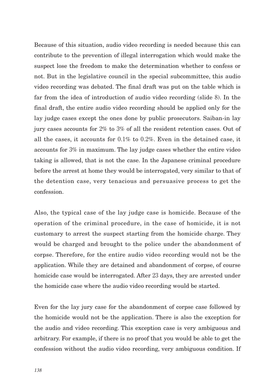Because of this situation, audio video recording is needed because this can contribute to the prevention of illegal interrogation which would make the suspect lose the freedom to make the determination whether to confess or not. But in the legislative council in the special subcommittee, this audio video recording was debated. The final draft was put on the table which is far from the idea of introduction of audio video recording (slide 8). In the final draft, the entire audio video recording should be applied only for the lay judge cases except the ones done by public prosecutors. Saiban-in lay jury cases accounts for 2% to 3% of all the resident retention cases. Out of all the cases, it accounts for 0.1% to 0.2%. Even in the detained case, it accounts for 3% in maximum. The lay judge cases whether the entire video taking is allowed, that is not the case. In the Japanese criminal procedure before the arrest at home they would be interrogated, very similar to that of the detention case, very tenacious and persuasive process to get the confession.

Also, the typical case of the lay judge case is homicide. Because of the operation of the criminal procedure, in the case of homicide, it is not customary to arrest the suspect starting from the homicide charge. They would be charged and brought to the police under the abandonment of corpse. Therefore, for the entire audio video recording would not be the application. While they are detained and abandonment of corpse, of course homicide case would be interrogated. After 23 days, they are arrested under the homicide case where the audio video recording would be started.

Even for the lay jury case for the abandonment of corpse case followed by the homicide would not be the application. There is also the exception for the audio and video recording. This exception case is very ambiguous and arbitrary. For example, if there is no proof that you would be able to get the confession without the audio video recording, very ambiguous condition. If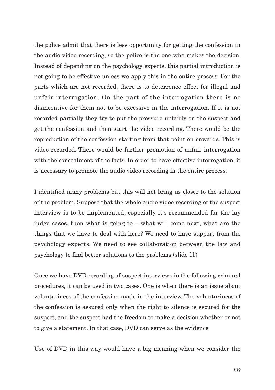the police admit that there is less opportunity for getting the confession in the audio video recording, so the police is the one who makes the decision. Instead of depending on the psychology experts, this partial introduction is not going to be effective unless we apply this in the entire process. For the parts which are not recorded, there is to deterrence effect for illegal and unfair interrogation. On the part of the interrogation there is no disincentive for them not to be excessive in the interrogation. If it is not recorded partially they try to put the pressure unfairly on the suspect and get the confession and then start the video recording. There would be the reproduction of the confession starting from that point on onwards. This is video recorded. There would be further promotion of unfair interrogation with the concealment of the facts. In order to have effective interrogation, it is necessary to promote the audio video recording in the entire process.

I identified many problems but this will not bring us closer to the solution of the problem. Suppose that the whole audio video recording of the suspect interview is to be implemented, especially it's recommended for the lay judge cases, then what is going to – what will come next, what are the things that we have to deal with here? We need to have support from the psychology experts. We need to see collaboration between the law and psychology to find better solutions to the problems (slide 11).

Once we have DVD recording of suspect interviews in the following criminal procedures, it can be used in two cases. One is when there is an issue about voluntariness of the confession made in the interview. The voluntariness of the confession is assured only when the right to silence is secured for the suspect, and the suspect had the freedom to make a decision whether or not to give a statement. In that case, DVD can serve as the evidence.

Use of DVD in this way would have a big meaning when we consider the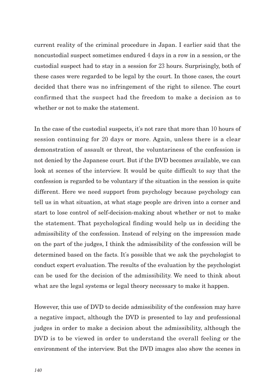current reality of the criminal procedure in Japan. I earlier said that the noncustodial suspect sometimes endured 4 days in a row in a session, or the custodial suspect had to stay in a session for 23 hours. Surprisingly, both of these cases were regarded to be legal by the court. In those cases, the court decided that there was no infringement of the right to silence. The court confirmed that the suspect had the freedom to make a decision as to whether or not to make the statement.

In the case of the custodial suspects, it's not rare that more than 10 hours of session continuing for 20 days or more. Again, unless there is a clear demonstration of assault or threat, the voluntariness of the confession is not denied by the Japanese court. But if the DVD becomes available, we can look at scenes of the interview. It would be quite difficult to say that the confession is regarded to be voluntary if the situation in the session is quite different. Here we need support from psychology because psychology can tell us in what situation, at what stage people are driven into a corner and start to lose control of self-decision-making about whether or not to make the statement. That psychological finding would help us in deciding the admissibility of the confession. Instead of relying on the impression made on the part of the judges, I think the admissibility of the confession will be determined based on the facts. It's possible that we ask the psychologist to conduct expert evaluation. The results of the evaluation by the psychologist can be used for the decision of the admissibility. We need to think about what are the legal systems or legal theory necessary to make it happen.

However, this use of DVD to decide admissibility of the confession may have a negative impact, although the DVD is presented to lay and professional judges in order to make a decision about the admissibility, although the DVD is to be viewed in order to understand the overall feeling or the environment of the interview. But the DVD images also show the scenes in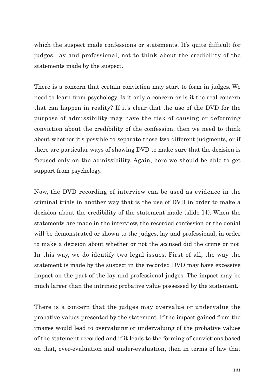which the suspect made confessions or statements. It's quite difficult for judges, lay and professional, not to think about the credibility of the statements made by the suspect.

There is a concern that certain conviction may start to form in judges. We need to learn from psychology. Is it only a concern or is it the real concern that can happen in reality? If it's clear that the use of the DVD for the purpose of admissibility may have the risk of causing or deforming conviction about the credibility of the confession, then we need to think about whether it's possible to separate these two different judgments, or if there are particular ways of showing DVD to make sure that the decision is focused only on the admissibility. Again, here we should be able to get support from psychology.

Now, the DVD recording of interview can be used as evidence in the criminal trials in another way that is the use of DVD in order to make a decision about the credibility of the statement made (slide 14). When the statements are made in the interview, the recorded confession or the denial will be demonstrated or shown to the judges, lay and professional, in order to make a decision about whether or not the accused did the crime or not. In this way, we do identify two legal issues. First of all, the way the statement is made by the suspect in the recorded DVD may have excessive impact on the part of the lay and professional judges. The impact may be much larger than the intrinsic probative value possessed by the statement.

There is a concern that the judges may overvalue or undervalue the probative values presented by the statement. If the impact gained from the images would lead to overvaluing or undervaluing of the probative values of the statement recorded and if it leads to the forming of convictions based on that, over-evaluation and under-evaluation, then in terms of law that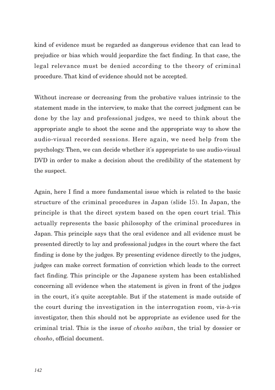kind of evidence must be regarded as dangerous evidence that can lead to prejudice or bias which would jeopardize the fact finding. In that case, the legal relevance must be denied according to the theory of criminal procedure. That kind of evidence should not be accepted.

Without increase or decreasing from the probative values intrinsic to the statement made in the interview, to make that the correct judgment can be done by the lay and professional judges, we need to think about the appropriate angle to shoot the scene and the appropriate way to show the audio-visual recorded sessions. Here again, we need help from the psychology. Then, we can decide whether it's appropriate to use audio-visual DVD in order to make a decision about the credibility of the statement by the suspect.

Again, here I find a more fundamental issue which is related to the basic structure of the criminal procedures in Japan (slide 15). In Japan, the principle is that the direct system based on the open court trial. This actually represents the basic philosophy of the criminal procedures in Japan. This principle says that the oral evidence and all evidence must be presented directly to lay and professional judges in the court where the fact finding is done by the judges. By presenting evidence directly to the judges, judges can make correct formation of conviction which leads to the correct fact finding. This principle or the Japanese system has been established concerning all evidence when the statement is given in front of the judges in the court, it's quite acceptable. But if the statement is made outside of the court during the investigation in the interrogation room, vis-à-vis investigator, then this should not be appropriate as evidence used for the criminal trial. This is the issue of *chosho saiban*, the trial by dossier or *chosho*, official document.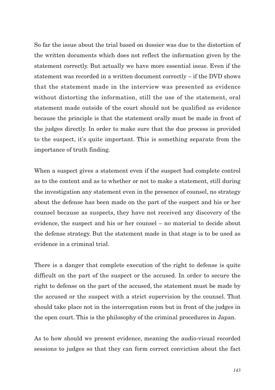So far the issue about the trial based on dossier was due to the distortion of the written documents which does not reflect the information given by the statement correctly. But actually we have more essential issue. Even if the statement was recorded in a written document correctly – if the DVD shows that the statement made in the interview was presented as evidence without distorting the information, still the use of the statement, oral statement made outside of the court should not be qualified as evidence because the principle is that the statement orally must be made in front of the judges directly. In order to make sure that the due process is provided to the suspect, it's quite important. This is something separate from the importance of truth finding.

When a suspect gives a statement even if the suspect had complete control as to the content and as to whether or not to make a statement, still during the investigation any statement even in the presence of counsel, no strategy about the defense has been made on the part of the suspect and his or her counsel because as suspects, they have not received any discovery of the evidence, the suspect and his or her counsel – no material to decide about the defense strategy. But the statement made in that stage is to be used as evidence in a criminal trial.

There is a danger that complete execution of the right to defense is quite difficult on the part of the suspect or the accused. In order to secure the right to defense on the part of the accused, the statement must be made by the accused or the suspect with a strict supervision by the counsel. That should take place not in the interrogation room but in front of the judges in the open court. This is the philosophy of the criminal procedures in Japan.

As to how should we present evidence, meaning the audio-visual recorded sessions to judges so that they can form correct conviction about the fact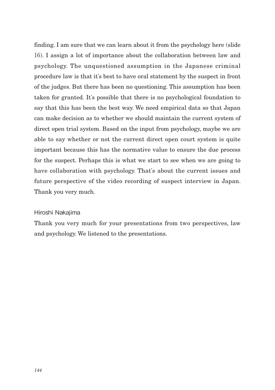finding. I am sure that we can learn about it from the psychology here (slide 16). I assign a lot of importance about the collaboration between law and psychology. The unquestioned assumption in the Japanese criminal procedure law is that it's best to have oral statement by the suspect in front of the judges. But there has been no questioning. This assumption has been taken for granted. It's possible that there is no psychological foundation to say that this has been the best way. We need empirical data so that Japan can make decision as to whether we should maintain the current system of direct open trial system. Based on the input from psychology, maybe we are able to say whether or not the current direct open court system is quite important because this has the normative value to ensure the due process for the suspect. Perhaps this is what we start to see when we are going to have collaboration with psychology. That's about the current issues and future perspective of the video recording of suspect interview in Japan. Thank you very much.

## Hiroshi Nakajima

Thank you very much for your presentations from two perspectives, law and psychology. We listened to the presentations.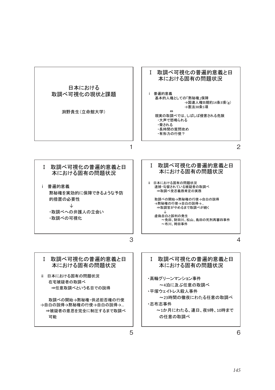



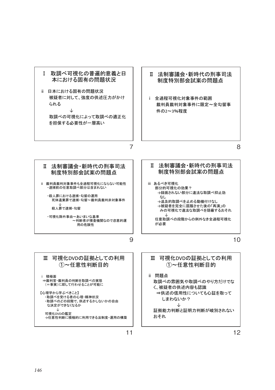

√<del></u><br>(=事実)に即して行わせることが可能に</del>

【心理学から学ぶべきこと】 䞉ྲྀㄪ䜉䜢ཷ䛡䜛⪅䛾ᚰ⌮䞉⢭⚄≧ἣ ・取調べのどの段階で、供述するかしないかの自由 な決定ができなくなるか

— ↓<br>可視化DVDの鑑定 ї௵ពᛶุ᩿䛻✚ᴟⓗ䛻⏝䛷䛝䜛ἲไᗘ䞉㐠⏝䛾ᵓ⠏ 取調べの雰囲気や取調べのやり方だけでな く 被疑者の供述内容も認識 ⇒供述の信用性についても心証を取って しまわないか? љ 証拠能力判断と証明力判断が峻別されない

おそれ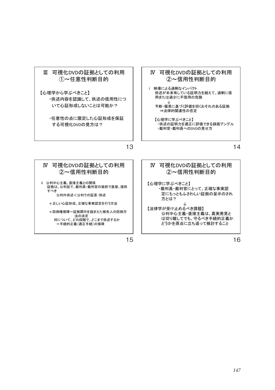

【心理学から学ぶべきこと】 ・供述内容を認識して、供述の信用性につ いて心証形成しないことは可能か?

・任意性の点に限定した心証形成を保証 する可視化DVDの見方は?

#### IV 可視化DVDの証拠としての利用 ②~信用性判断目的

- i 映像による過剰なインパクト <sub>次隊にぷる</sup>過約。 ファ・フェ<br>供述が本来有している証明力を越えて、過剰に信</sub> ⏝䜎䛯䛿㐣ᑡ䛻ಙ⏝䛾༴㝤 љ
	- 予断・偏見に基づく評価を招くおそれのある証拠 эἲᚊⓗ㛵㐃ᛶ䛾ྰᐃ
	- 【心理学に学ぶべきこと】 - 供述の証明力を適正に評価できる録画アングル ·裁判官·裁判員へのDVDの見せ方

13

#### IV 可視化DVDの証拠としての利用 ②~信用性判断目的

- ii 公判中心主義、直接主義との関係 コ・・・・。ニッヘニッニ。<br>証拠は、公判廷で、裁判員・裁判官の面前で直接、提供 すべき
	- つ。<br>公判外供述<公判での証言・供述
	- ←正しい心証形成、正確な事実認定を行う方法
	- ←防御権保障~証拠開示を踏まえた被告人の防御方 法の決定 何について、どの段階で、どこまで供述するか 䠙ᡭ⥆ⓗṇ⩏䠄㐺ṇᡭ⥆䠅䛾ಖ㞀
- IV 可視化DVDの証拠としての利用 ②~信用性判断目的
- 【心理学に学ぶべきこと】 • 栽判員• 耕判官にとって、正確な事実認 定にもっともふさわしい証拠の呈示のされ 方とは?
- —↓<br>【法律学が受け止めるべき課題】 公判中心主義・直接主義は、真実発見と は切り離してでも、守るべき手続的正義か どうかを原点に立ち返って検討すること

15

16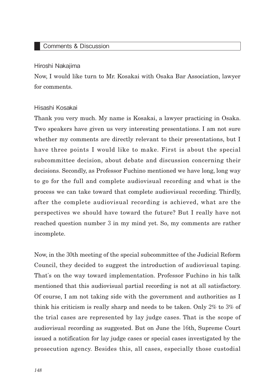#### Hiroshi Nakajima

Now, I would like turn to Mr. Kosakai with Osaka Bar Association, lawyer for comments.

#### Hisashi Kosakai

Thank you very much. My name is Kosakai, a lawyer practicing in Osaka. Two speakers have given us very interesting presentations. I am not sure whether my comments are directly relevant to their presentations, but I have three points I would like to make. First is about the special subcommittee decision, about debate and discussion concerning their decisions. Secondly, as Professor Fuchino mentioned we have long, long way to go for the full and complete audiovisual recording and what is the process we can take toward that complete audiovisual recording. Thirdly, after the complete audiovisual recording is achieved, what are the perspectives we should have toward the future? But I really have not reached question number 3 in my mind yet. So, my comments are rather incomplete.

Now, in the 30th meeting of the special subcommittee of the Judicial Reform Council, they decided to suggest the introduction of audiovisual taping. That's on the way toward implementation. Professor Fuchino in his talk mentioned that this audiovisual partial recording is not at all satisfactory. Of course, I am not taking side with the government and authorities as I think his criticism is really sharp and needs to be taken. Only 2% to 3% of the trial cases are represented by lay judge cases. That is the scope of audiovisual recording as suggested. But on June the 16th, Supreme Court issued a notification for lay judge cases or special cases investigated by the prosecution agency. Besides this, all cases, especially those custodial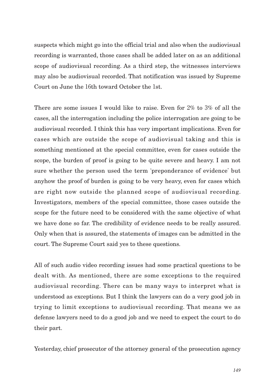suspects which might go into the official trial and also when the audiovisual recording is warranted, those cases shall be added later on as an additional scope of audiovisual recording. As a third step, the witnesses interviews may also be audiovisual recorded. That notification was issued by Supreme Court on June the 16th toward October the 1st.

There are some issues I would like to raise. Even for 2% to 3% of all the cases, all the interrogation including the police interrogation are going to be audiovisual recorded. I think this has very important implications. Even for cases which are outside the scope of audiovisual taking and this is something mentioned at the special committee, even for cases outside the scope, the burden of proof is going to be quite severe and heavy. I am not sure whether the person used the term ʻpreponderance of evidence' but anyhow the proof of burden is going to be very heavy, even for cases which are right now outside the planned scope of audiovisual recording. Investigators, members of the special committee, those cases outside the scope for the future need to be considered with the same objective of what we have done so far. The credibility of evidence needs to be really assured. Only when that is assured, the statements of images can be admitted in the court. The Supreme Court said yes to these questions.

All of such audio video recording issues had some practical questions to be dealt with. As mentioned, there are some exceptions to the required audiovisual recording. There can be many ways to interpret what is understood as exceptions. But I think the lawyers can do a very good job in trying to limit exceptions to audiovisual recording. That means we as defense lawyers need to do a good job and we need to expect the court to do their part.

Yesterday, chief prosecutor of the attorney general of the prosecution agency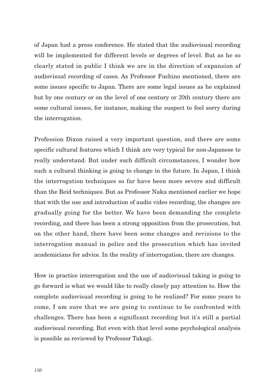of Japan had a press conference. He stated that the audiovisual recording will be implemented for different levels or degrees of level. But as he so clearly stated in public I think we are in the direction of expansion of audiovisual recording of cases. As Professor Fuchino mentioned, there are some issues specific to Japan. There are some legal issues as he explained but by one century or on the level of one century or 20th century there are some cultural issues, for instance, making the suspect to feel sorry during the interrogation.

Profession Dixon raised a very important question, and there are some specific cultural features which I think are very typical for non-Japanese to really understand. But under such difficult circumstances, I wonder how such a cultural thinking is going to change in the future. In Japan, I think the interrogation techniques so far have been more severe and difficult than the Reid techniques. But as Professor Naka mentioned earlier we hope that with the use and introduction of audio video recording, the changes are gradually going for the better. We have been demanding the complete recording, and there has been a strong opposition from the prosecution, but on the other hand, there have been some changes and revisions to the interrogation manual in police and the prosecution which has invited academicians for advice. In the reality of interrogation, there are changes.

How in practice interrogation and the use of audiovisual taking is going to go forward is what we would like to really closely pay attention to. How the complete audiovisual recording is going to be realized? For some years to come, I am sure that we are going to continue to be confronted with challenges. There has been a significant recording but it's still a partial audiovisual recording. But even with that level some psychological analysis is possible as reviewed by Professor Takagi.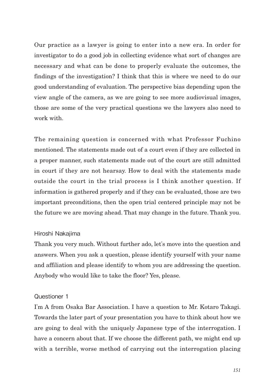Our practice as a lawyer is going to enter into a new era. In order for investigator to do a good job in collecting evidence what sort of changes are necessary and what can be done to properly evaluate the outcomes, the findings of the investigation? I think that this is where we need to do our good understanding of evaluation. The perspective bias depending upon the view angle of the camera, as we are going to see more audiovisual images, those are some of the very practical questions we the lawyers also need to work with.

The remaining question is concerned with what Professor Fuchino mentioned. The statements made out of a court even if they are collected in a proper manner, such statements made out of the court are still admitted in court if they are not hearsay. How to deal with the statements made outside the court in the trial process is I think another question. If information is gathered properly and if they can be evaluated, those are two important preconditions, then the open trial centered principle may not be the future we are moving ahead. That may change in the future. Thank you.

#### Hiroshi Nakajima

Thank you very much. Without further ado, let's move into the question and answers. When you ask a question, please identify yourself with your name and affiliation and please identify to whom you are addressing the question. Anybody who would like to take the floor? Yes, please.

#### Questioner 1

I'm A from Osaka Bar Association. I have a question to Mr. Kotaro Takagi. Towards the later part of your presentation you have to think about how we are going to deal with the uniquely Japanese type of the interrogation. I have a concern about that. If we choose the different path, we might end up with a terrible, worse method of carrying out the interrogation placing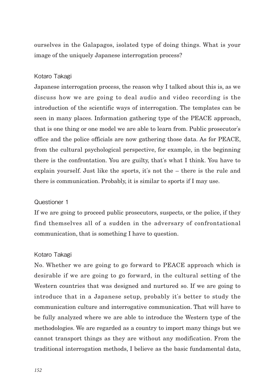ourselves in the Galapagos, isolated type of doing things. What is your image of the uniquely Japanese interrogation process?

#### Kotaro Takagi

Japanese interrogation process, the reason why I talked about this is, as we discuss how we are going to deal audio and video recording is the introduction of the scientific ways of interrogation. The templates can be seen in many places. Information gathering type of the PEACE approach, that is one thing or one model we are able to learn from. Public prosecutor's office and the police officials are now gathering those data. As for PEACE, from the cultural psychological perspective, for example, in the beginning there is the confrontation. You are guilty, that's what I think. You have to explain yourself. Just like the sports, it's not the – there is the rule and there is communication. Probably, it is similar to sports if I may use.

#### Questioner 1

If we are going to proceed public prosecutors, suspects, or the police, if they find themselves all of a sudden in the adversary of confrontational communication, that is something I have to question.

#### Kotaro Takagi

No. Whether we are going to go forward to PEACE approach which is desirable if we are going to go forward, in the cultural setting of the Western countries that was designed and nurtured so. If we are going to introduce that in a Japanese setup, probably it's better to study the communication culture and interrogative communication. That will have to be fully analyzed where we are able to introduce the Western type of the methodologies. We are regarded as a country to import many things but we cannot transport things as they are without any modification. From the traditional interrogation methods, I believe as the basic fundamental data,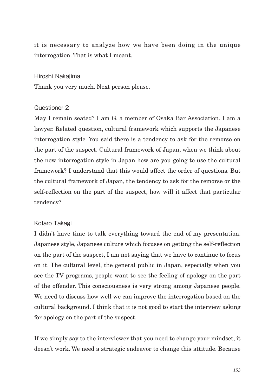it is necessary to analyze how we have been doing in the unique interrogation. That is what I meant.

#### Hiroshi Nakajima

Thank you very much. Next person please.

#### Questioner 2

May I remain seated? I am G, a member of Osaka Bar Association. I am a lawyer. Related question, cultural framework which supports the Japanese interrogation style. You said there is a tendency to ask for the remorse on the part of the suspect. Cultural framework of Japan, when we think about the new interrogation style in Japan how are you going to use the cultural framework? I understand that this would affect the order of questions. But the cultural framework of Japan, the tendency to ask for the remorse or the self-reflection on the part of the suspect, how will it affect that particular tendency?

#### Kotaro Takagi

I didn't have time to talk everything toward the end of my presentation. Japanese style, Japanese culture which focuses on getting the self-reflection on the part of the suspect, I am not saying that we have to continue to focus on it. The cultural level, the general public in Japan, especially when you see the TV programs, people want to see the feeling of apology on the part of the offender. This consciousness is very strong among Japanese people. We need to discuss how well we can improve the interrogation based on the cultural background. I think that it is not good to start the interview asking for apology on the part of the suspect.

If we simply say to the interviewer that you need to change your mindset, it doesn't work. We need a strategic endeavor to change this attitude. Because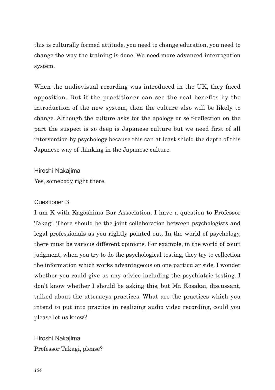this is culturally formed attitude, you need to change education, you need to change the way the training is done. We need more advanced interrogation system.

When the audiovisual recording was introduced in the UK, they faced opposition. But if the practitioner can see the real benefits by the introduction of the new system, then the culture also will be likely to change. Although the culture asks for the apology or self-reflection on the part the suspect is so deep is Japanese culture but we need first of all intervention by psychology because this can at least shield the depth of this Japanese way of thinking in the Japanese culture.

Hiroshi Nakajima

Yes, somebody right there.

#### Questioner 3

I am K with Kagoshima Bar Association. I have a question to Professor Takagi. There should be the joint collaboration between psychologists and legal professionals as you rightly pointed out. In the world of psychology, there must be various different opinions. For example, in the world of court judgment, when you try to do the psychological testing, they try to collection the information which works advantageous on one particular side. I wonder whether you could give us any advice including the psychiatric testing. I don't know whether I should be asking this, but Mr. Kosakai, discussant, talked about the attorneys practices. What are the practices which you intend to put into practice in realizing audio video recording, could you please let us know?

Hiroshi Nakajima Professor Takagi, please?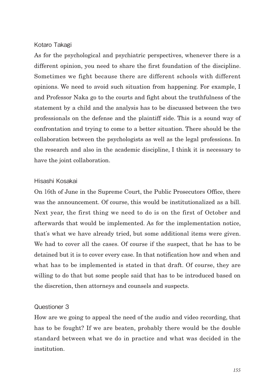### Kotaro Takagi

As for the psychological and psychiatric perspectives, whenever there is a different opinion, you need to share the first foundation of the discipline. Sometimes we fight because there are different schools with different opinions. We need to avoid such situation from happening. For example, I and Professor Naka go to the courts and fight about the truthfulness of the statement by a child and the analysis has to be discussed between the two professionals on the defense and the plaintiff side. This is a sound way of confrontation and trying to come to a better situation. There should be the collaboration between the psychologists as well as the legal professions. In the research and also in the academic discipline, I think it is necessary to have the joint collaboration.

### Hisashi Kosakai

On 16th of June in the Supreme Court, the Public Prosecutors Office, there was the announcement. Of course, this would be institutionalized as a bill. Next year, the first thing we need to do is on the first of October and afterwards that would be implemented. As for the implementation notice, that's what we have already tried, but some additional items were given. We had to cover all the cases. Of course if the suspect, that he has to be detained but it is to cover every case. In that notification how and when and what has to be implemented is stated in that draft. Of course, they are willing to do that but some people said that has to be introduced based on the discretion, then attorneys and counsels and suspects.

## Questioner 3

How are we going to appeal the need of the audio and video recording, that has to be fought? If we are beaten, probably there would be the double standard between what we do in practice and what was decided in the institution.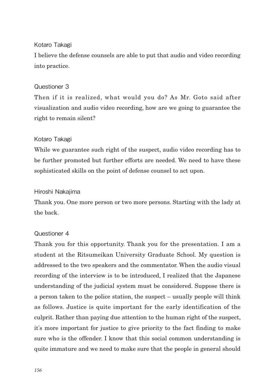# Kotaro Takagi

I believe the defense counsels are able to put that audio and video recording into practice.

# Questioner 3

Then if it is realized, what would you do? As Mr. Goto said after visualization and audio video recording, how are we going to guarantee the right to remain silent?

# Kotaro Takagi

While we guarantee such right of the suspect, audio video recording has to be further promoted but further efforts are needed. We need to have these sophisticated skills on the point of defense counsel to act upon.

# Hiroshi Nakajima

Thank you. One more person or two more persons. Starting with the lady at the back.

# Questioner 4

Thank you for this opportunity. Thank you for the presentation. I am a student at the Ritsumeikan University Graduate School. My question is addressed to the two speakers and the commentator. When the audio visual recording of the interview is to be introduced, I realized that the Japanese understanding of the judicial system must be considered. Suppose there is a person taken to the police station, the suspect – usually people will think as follows. Justice is quite important for the early identification of the culprit. Rather than paying due attention to the human right of the suspect, it's more important for justice to give priority to the fact finding to make sure who is the offender. I know that this social common understanding is quite immature and we need to make sure that the people in general should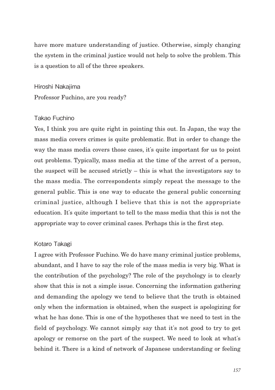have more mature understanding of justice. Otherwise, simply changing the system in the criminal justice would not help to solve the problem. This is a question to all of the three speakers.

#### Hiroshi Nakajima

Professor Fuchino, are you ready?

#### Takao Fuchino

Yes, I think you are quite right in pointing this out. In Japan, the way the mass media covers crimes is quite problematic. But in order to change the way the mass media covers those cases, it's quite important for us to point out problems. Typically, mass media at the time of the arrest of a person, the suspect will be accused strictly – this is what the investigators say to the mass media. The correspondents simply repeat the message to the general public. This is one way to educate the general public concerning criminal justice, although I believe that this is not the appropriate education. It's quite important to tell to the mass media that this is not the appropriate way to cover criminal cases. Perhaps this is the first step.

## Kotaro Takagi

I agree with Professor Fuchino. We do have many criminal justice problems, abundant, and I have to say the role of the mass media is very big. What is the contribution of the psychology? The role of the psychology is to clearly show that this is not a simple issue. Concerning the information gathering and demanding the apology we tend to believe that the truth is obtained only when the information is obtained, when the suspect is apologizing for what he has done. This is one of the hypotheses that we need to test in the field of psychology. We cannot simply say that it's not good to try to get apology or remorse on the part of the suspect. We need to look at what's behind it. There is a kind of network of Japanese understanding or feeling